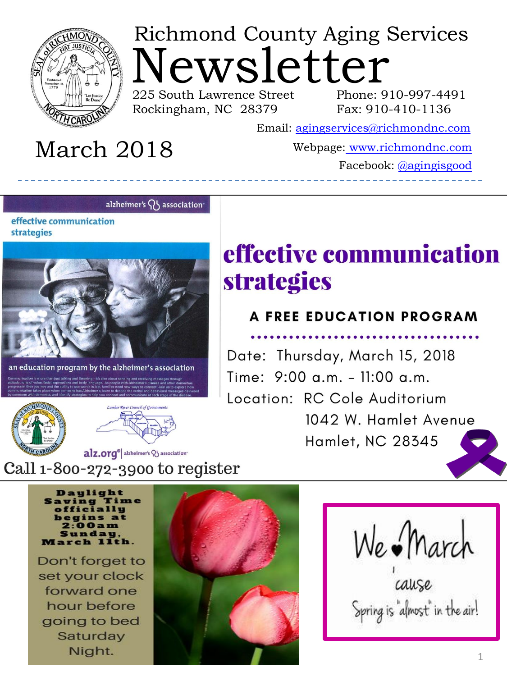

# ewsletter Richmond County Aging Services

225 South Lawrence Street Rockingham, NC 28379

Phone: 910-997-4491 Fax: 910-410-1136

Email: [agingservices@richmondnc.com](mailto:agingservices@richmondnc.com)

## March 2018

Webpage: [www.richmondnc.com](http://www.richmondnc.com/)

Facebook: [@agingisgood](https://www.facebook.com/agingisgood/)

#### alzheimer's  $\{ \}$  association

effective communication strategies



education program by the alzheimer's association





## effective communication **strategies**

#### **A FREE EDUCATION PROGRAM**

Date: Thursday, March 15, 2018 Time: 9:00 a.m. - 11:00 a.m. Location: RC Cole Auditorium 1042 W. Hamlet Avenue Hamlet, NC 28345

#### alz.org<sup>®</sup> alzheimer's V association<sup>-</sup> Call 1-800-272-3900 to register

Daylight ng Time

Don't forget to set your clock forward one hour before going to bed Saturday Night.



We March

Spring is "almost" in the air!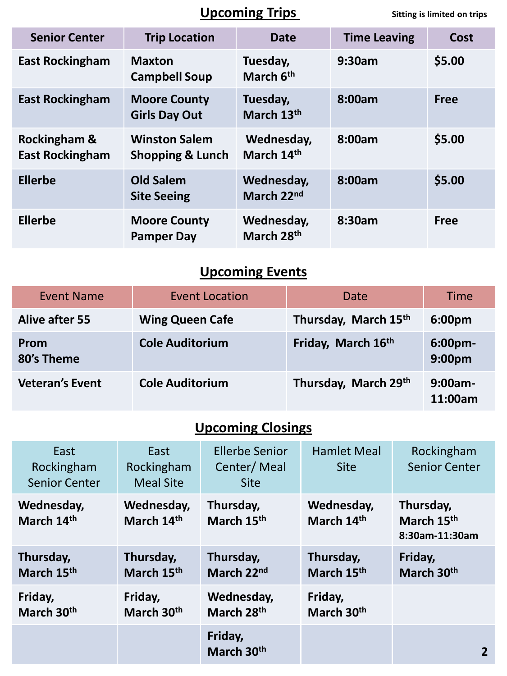#### **Upcoming Trips** Sitting is limited on trips

| <b>Senior Center</b>                              | <b>Trip Location</b>                                | <b>Date</b>              | <b>Time Leaving</b> | Cost        |
|---------------------------------------------------|-----------------------------------------------------|--------------------------|---------------------|-------------|
| <b>East Rockingham</b>                            | <b>Maxton</b><br><b>Campbell Soup</b>               | Tuesday,<br>March 6th    | 9:30am              | \$5.00      |
| <b>East Rockingham</b>                            | <b>Moore County</b><br><b>Girls Day Out</b>         | Tuesday,<br>March 13th   | 8:00am              | <b>Free</b> |
| <b>Rockingham &amp;</b><br><b>East Rockingham</b> | <b>Winston Salem</b><br><b>Shopping &amp; Lunch</b> | Wednesday,<br>March 14th | 8:00am              | \$5.00      |
| <b>Ellerbe</b>                                    | <b>Old Salem</b><br><b>Site Seeing</b>              | Wednesday,<br>March 22nd | 8:00am              | \$5.00      |
| <b>Ellerbe</b>                                    | <b>Moore County</b><br><b>Pamper Day</b>            | Wednesday,<br>March 28th | 8:30am              | <b>Free</b> |

## **Upcoming Events**

| <b>Event Name</b>         | <b>Event Location</b>  | Date                 | <b>Time</b>                   |
|---------------------------|------------------------|----------------------|-------------------------------|
| <b>Alive after 55</b>     | <b>Wing Queen Cafe</b> | Thursday, March 15th | 6:00pm                        |
| <b>Prom</b><br>80's Theme | <b>Cole Auditorium</b> | Friday, March 16th   | 6:00pm-<br>9:00 <sub>pm</sub> |
| <b>Veteran's Event</b>    | <b>Cole Auditorium</b> | Thursday, March 29th | $9:00am -$<br>11:00am         |

## **Upcoming Closings**

| East<br>Rockingham<br><b>Senior Center</b> | East<br>Rockingham<br><b>Meal Site</b> | <b>Ellerbe Senior</b><br>Center/Meal<br><b>Site</b> | <b>Hamlet Meal</b><br><b>Site</b> | Rockingham<br><b>Senior Center</b>        |
|--------------------------------------------|----------------------------------------|-----------------------------------------------------|-----------------------------------|-------------------------------------------|
| Wednesday,<br>March 14th                   | Wednesday,<br>March 14th               | Thursday,<br>March 15th                             | Wednesday,<br>March 14th          | Thursday,<br>March 15th<br>8:30am-11:30am |
| Thursday,<br>March 15th                    | Thursday,<br>March 15th                | Thursday,<br>March 22nd                             | Thursday,<br>March 15th           | Friday,<br>March 30th                     |
| Friday,<br>March 30 <sup>th</sup>          | Friday,<br>March 30 <sup>th</sup>      | Wednesday,<br>March 28th                            | Friday,<br>March 30 <sup>th</sup> |                                           |
|                                            |                                        | Friday,<br>March 30th                               |                                   | 2                                         |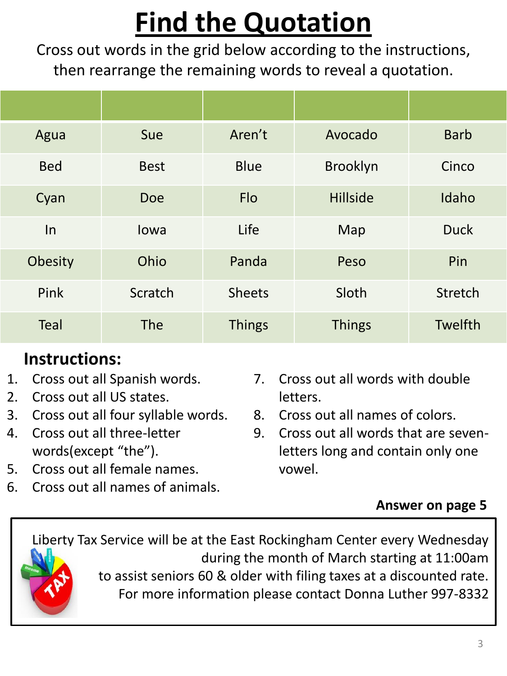# **Find the Quotation**

Cross out words in the grid below according to the instructions, then rearrange the remaining words to reveal a quotation.

| Agua        | Sue         | Aren't        | Avocado         | <b>Barb</b>    |
|-------------|-------------|---------------|-----------------|----------------|
| <b>Bed</b>  | <b>Best</b> | <b>Blue</b>   | Brooklyn        | Cinco          |
| Cyan        | <b>Doe</b>  | <b>Flo</b>    | <b>Hillside</b> | Idaho          |
| In          | Iowa        | Life          | Map             | <b>Duck</b>    |
| Obesity     | Ohio        | Panda         | Peso            | Pin            |
| Pink        | Scratch     | <b>Sheets</b> | Sloth           | <b>Stretch</b> |
| <b>Teal</b> | <b>The</b>  | <b>Things</b> | <b>Things</b>   | Twelfth        |

## **Instructions:**

- 1. Cross out all Spanish words.
- 2. Cross out all US states.
- 3. Cross out all four syllable words.
- 4. Cross out all three-letter words(except "the").
- 5. Cross out all female names.
- 6. Cross out all names of animals.
- 7. Cross out all words with double letters.
- 8. Cross out all names of colors.
- 9. Cross out all words that are sevenletters long and contain only one vowel.

### **Answer on page 5**

Liberty Tax Service will be at the East Rockingham Center every Wednesday during the month of March starting at 11:00am to assist seniors 60 & older with filing taxes at a discounted rate. For more information please contact Donna Luther 997-8332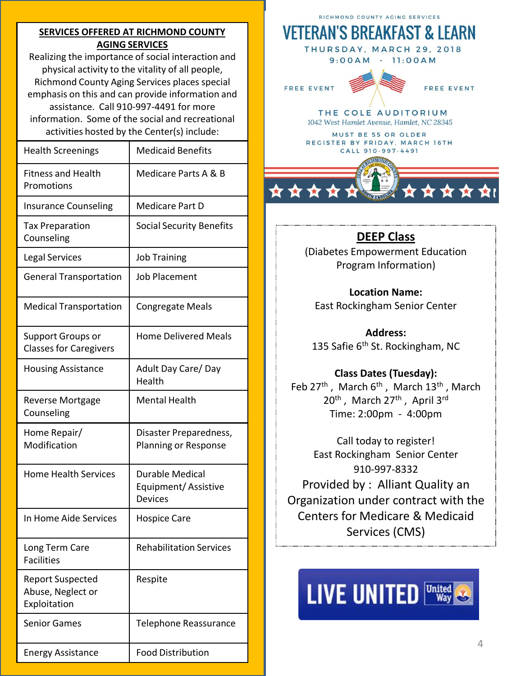#### **SERVICES OFFERED AT RICHMOND COUNTY AGING SERVICES**

Realizing the importance of social interaction and physical activity to the vitality of all people, Richmond County Aging Services places special emphasis on this and can provide information and assistance. Call 910-997-4491 for more information. Some of the social and recreational activities hosted by the Center(s) include:

| <b>Health Screenings</b>                                     | <b>Medicaid Benefits</b>                                 |
|--------------------------------------------------------------|----------------------------------------------------------|
| <b>Fitness and Health</b><br>Promotions                      | Medicare Parts A & B                                     |
| <b>Insurance Counseling</b>                                  | Medicare Part D                                          |
| <b>Tax Preparation</b><br>Counseling                         | <b>Social Security Benefits</b>                          |
| <b>Legal Services</b>                                        | <b>Job Training</b>                                      |
| <b>General Transportation</b>                                | <b>Job Placement</b>                                     |
| <b>Medical Transportation</b>                                | <b>Congregate Meals</b>                                  |
| <b>Support Groups or</b><br><b>Classes for Caregivers</b>    | <b>Home Delivered Meals</b>                              |
| <b>Housing Assistance</b>                                    | Adult Day Care/Day<br>Health                             |
| <b>Reverse Mortgage</b><br>Counseling                        | <b>Mental Health</b>                                     |
| Home Repair/<br>Modification                                 | Disaster Preparedness,<br>Planning or Response           |
| <b>Home Health Services</b>                                  | Durable Medical<br>Equipment/Assistive<br><b>Devices</b> |
| In Home Aide Services                                        | <b>Hospice Care</b>                                      |
| Long Term Care<br><b>Facilities</b>                          | <b>Rehabilitation Services</b>                           |
| <b>Report Suspected</b><br>Abuse, Neglect or<br>Exploitation | Respite                                                  |
| <b>Senior Games</b>                                          | Telephone Reassurance                                    |
| <b>Energy Assistance</b>                                     | <b>Food Distribution</b>                                 |

RICHMOND COUNTY AGING SERVICES

### **VETERAN'S BREAKFAST & LEARN**

THURSDAY, MARCH 29, 2018 9:00AM - 11:00AM

**FREE EVENT** 



THE COLE AUDITORIUM 1042 West Hamlet Avenue, Hamlet, NC 28345

MUST BE 55 OR OLDER REGISTER BY FRIDAY, MARCH 16TH CALL 910-997-4491

#### **DEEP Class**

(Diabetes Empowerment Education Program Information)

**Location Name:**  East Rockingham Senior Center

**Address:**  135 Safie 6<sup>th</sup> St. Rockingham, NC

**Class Dates (Tuesday):** 

Feb 27<sup>th</sup>, March 6<sup>th</sup>, March 13<sup>th</sup>, March 20<sup>th</sup>, March 27<sup>th</sup>, April 3<sup>rd</sup> Time: 2:00pm - 4:00pm

Call today to register! East Rockingham Senior Center 910-997-8332 Provided by : Alliant Quality an Organization under contract with the Centers for Medicare & Medicaid Services (CMS)

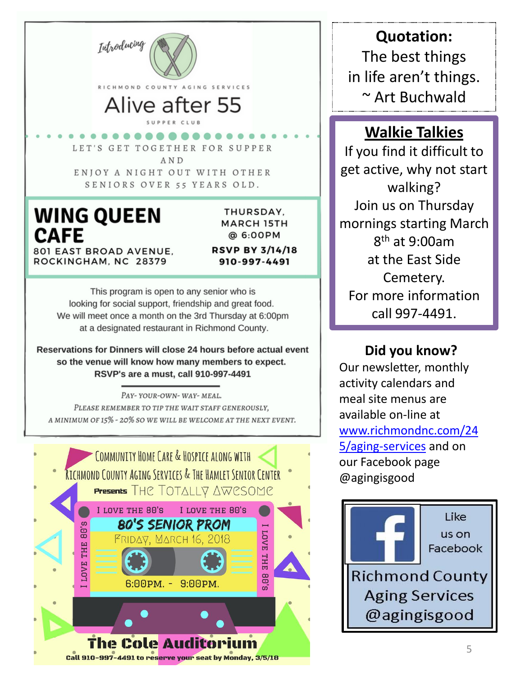

SENIORS OVER 55 YEARS OLD.

## **WING QUEEN CAFE**

THURSDAY. **MARCH 15TH** @ 6:00PM

801 EAST BROAD AVENUE. ROCKINGHAM, NC 28379

**RSVP BY 3/14/18** 910-997-4491

This program is open to any senior who is looking for social support, friendship and great food. We will meet once a month on the 3rd Thursday at 6:00pm at a designated restaurant in Richmond County.

Reservations for Dinners will close 24 hours before actual event so the venue will know how many members to expect. RSVP's are a must, call 910-997-4491

PAY-YOUR-OWN-WAY-MEAL. PLEASE REMEMBER TO TIP THE WAIT STAFF GENEROUSLY. A MINIMUM OF 15% - 20% SO WE WILL BE WELCOME AT THE NEXT EVENT.



**Quotation:**  The best things in life aren't things. ~ Art Buchwald

### **Walkie Talkies**

If you find it difficult to get active, why not start walking? Join us on Thursday mornings starting March 8 th at 9:00am at the East Side Cemetery. For more information call 997-4491.

**Did you know?**

Our newsletter, monthly activity calendars and meal site menus are available on-line at [www.richmondnc.com/24](http://www.richmondnc.com/245/aging-services) [5/aging-services](http://www.richmondnc.com/245/aging-services) and on our Facebook page @agingisgood